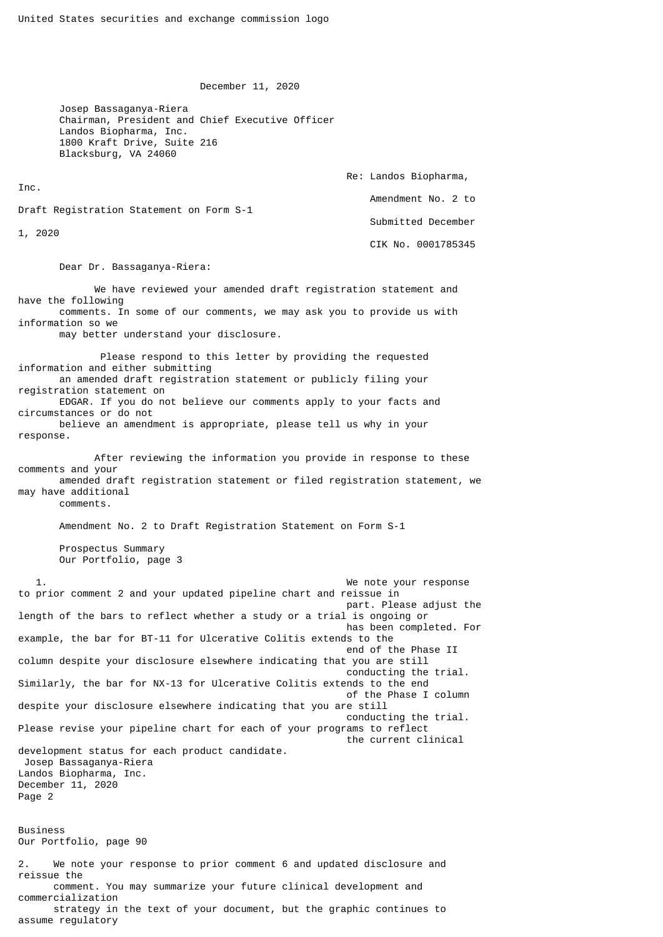December 11, 2020

 Josep Bassaganya-Riera Chairman, President and Chief Executive Officer Landos Biopharma, Inc. 1800 Kraft Drive, Suite 216 Blacksburg, VA 24060

 Re: Landos Biopharma, Inc. Amendment No. 2 to Draft Registration Statement on Form S-1 Submitted December 1, 2020 CIK No. 0001785345

Dear Dr. Bassaganya-Riera:

 We have reviewed your amended draft registration statement and have the following comments. In some of our comments, we may ask you to provide us with information so we may better understand your disclosure. Please respond to this letter by providing the requested information and either submitting an amended draft registration statement or publicly filing your registration statement on EDGAR. If you do not believe our comments apply to your facts and circumstances or do not believe an amendment is appropriate, please tell us why in your response. After reviewing the information you provide in response to these comments and your amended draft registration statement or filed registration statement, we may have additional comments. Amendment No. 2 to Draft Registration Statement on Form S-1 Prospectus Summary Our Portfolio, page 3 1. We note your response to prior comment 2 and your updated pipeline chart and reissue in part. Please adjust the length of the bars to reflect whether a study or a trial is ongoing or has been completed. For example, the bar for BT-11 for Ulcerative Colitis extends to the end of the Phase II column despite your disclosure elsewhere indicating that you are still conducting the trial. Similarly, the bar for NX-13 for Ulcerative Colitis extends to the end of the Phase I column despite your disclosure elsewhere indicating that you are still conducting the trial. Please revise your pipeline chart for each of your programs to reflect the current clinical development status for each product candidate. Josep Bassaganya-Riera Landos Biopharma, Inc. December 11, 2020 Page 2 Business Our Portfolio, page 90 2. We note your response to prior comment 6 and updated disclosure and reissue the comment. You may summarize your future clinical development and commercialization strategy in the text of your document, but the graphic continues to assume regulatory